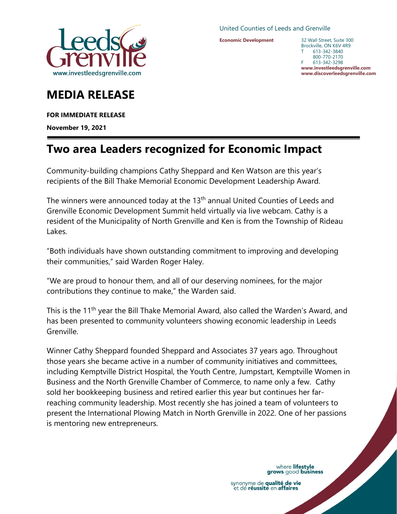

United Counties of Leeds and Grenville

**Economic Development**

32 Wall Street, Suite 300 Brockville, ON K6V 4R9 T 613-342-3840 800-770-2170 F 613-342-3298 **www.investleedsgrenville.com www.discoverleedsgrenville.com**

## **MEDIA RELEASE**

**FOR IMMEDIATE RELEASE** 

**November 19, 2021**

## **Two area Leaders recognized for Economic Impact**

Community-building champions Cathy Sheppard and Ken Watson are this year's recipients of the Bill Thake Memorial Economic Development Leadership Award.

The winners were announced today at the 13<sup>th</sup> annual United Counties of Leeds and Grenville Economic Development Summit held virtually via live webcam. Cathy is a resident of the Municipality of North Grenville and Ken is from the Township of Rideau Lakes.

"Both individuals have shown outstanding commitment to improving and developing their communities," said Warden Roger Haley.

"We are proud to honour them, and all of our deserving nominees, for the major contributions they continue to make," the Warden said.

This is the 11<sup>th</sup> year the Bill Thake Memorial Award, also called the Warden's Award, and has been presented to community volunteers showing economic leadership in Leeds Grenville.

Winner Cathy Sheppard founded Sheppard and Associates 37 years ago. Throughout those years she became active in a number of community initiatives and committees, including Kemptville District Hospital, the Youth Centre, Jumpstart, Kemptville Women in Business and the North Grenville Chamber of Commerce, to name only a few. Cathy sold her bookkeeping business and retired earlier this year but continues her farreaching community leadership. Most recently she has joined a team of volunteers to present the International Plowing Match in North Grenville in 2022. One of her passions is mentoring new entrepreneurs.

where lifestyle<br>grows good business

synonyme de qualité de vie et de réussite en affaires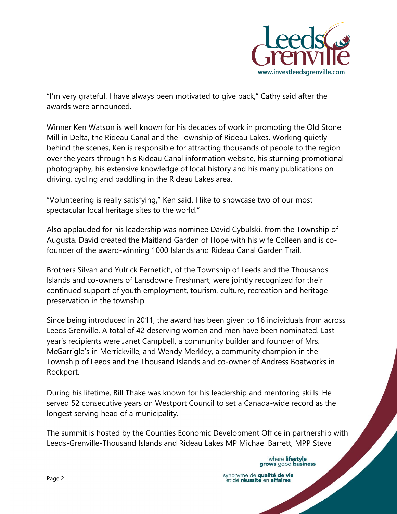

"I'm very grateful. I have always been motivated to give back," Cathy said after the awards were announced.

Winner Ken Watson is well known for his decades of work in promoting the Old Stone Mill in Delta, the Rideau Canal and the Township of Rideau Lakes. Working quietly behind the scenes, Ken is responsible for attracting thousands of people to the region over the years through his Rideau Canal information website, his stunning promotional photography, his extensive knowledge of local history and his many publications on driving, cycling and paddling in the Rideau Lakes area.

"Volunteering is really satisfying," Ken said. I like to showcase two of our most spectacular local heritage sites to the world."

Also applauded for his leadership was nominee David Cybulski, from the Township of Augusta. David created the Maitland Garden of Hope with his wife Colleen and is cofounder of the award-winning 1000 Islands and Rideau Canal Garden Trail.

Brothers Silvan and Yulrick Fernetich, of the Township of Leeds and the Thousands Islands and co-owners of Lansdowne Freshmart, were jointly recognized for their continued support of youth employment, tourism, culture, recreation and heritage preservation in the township.

Since being introduced in 2011, the award has been given to 16 individuals from across Leeds Grenville. A total of 42 deserving women and men have been nominated. Last year's recipients were Janet Campbell, a community builder and founder of Mrs. McGarrigle's in Merrickville, and Wendy Merkley, a community champion in the Township of Leeds and the Thousand Islands and co-owner of Andress Boatworks in Rockport.

During his lifetime, Bill Thake was known for his leadership and mentoring skills. He served 52 consecutive years on Westport Council to set a Canada-wide record as the longest serving head of a municipality.

The summit is hosted by the Counties Economic Development Office in partnership with Leeds-Grenville-Thousand Islands and Rideau Lakes MP Michael Barrett, MPP Steve

> where lifestyle grows good business

synonyme de qualité de vie<br>et de réussite en affaires